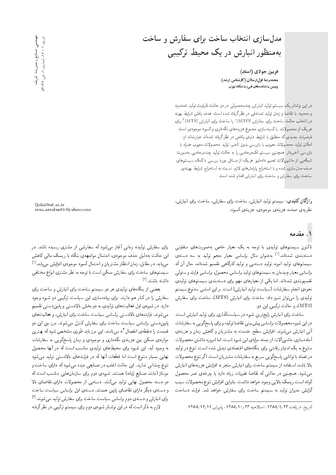مدل سازی انتخاب ساخت برای سفارش و ساخت به منظور انبارش در یک محیط ترکیبی

فريبرز جولاي (استاد) هحمدرضا قزل ارسلان (کارشناس ارشد) پردیس دانشکدههای فنی، دانشگاه تهران

دراین نوشتاریک سیستم تولید انبارش چندمحصولی در دو حالت ظرفیتِ تولیدِ نامحدود<br>را تقامات استانبار میشود و با سیستان میشدند که میشود و استانبار با است و محدود، با تقاضاً و زمان توليد تصادفي در نظر گرفته شده است. هدف يافتن شرايط بهينه درانتخاب حالت ساخت برای سفارش (MTO)' یا ساخت برای انبارش (MTS)' برای<br>کرد: مستقله ایجمنیه ایجمنیه است. هریک از محصولات، با کمینهسازی مجموع هزینههای نگهداری و کمبود موجودی است. فرضیات جدیدی که منطبق با شرایط دنیای واقعی در نظر گرفته شدهاند عبارت|ند |ز: امكان توليد محصولات معيوب با بازرسي بدون تأخير، توليد محصولات معيوب همراه با بازرسی تأخیردار. همچنین سیستم تکمرحلهیی را به حالت تولید چندمرحلهیی بهصورت شبکهیی از ماشین|ٌلات تعمیم دادهایم. هریک از مسائل مورد بررسی با کمک سیستمهای صف مدل سازی شده و با استخراج پارامترهای لازم، نسبت به استخراج شرایط بهینهی ساخت برای سفارش و ساخت برای انبارش اقدام شده است.

وا**ژگان کلیدی**: سیستم تولید انبارش، ساخت برای سفارش، ساخت برای انبارش، نظریه *ی ص*ف، هزینه ی موجودی، هزینه ی کمبود.

fjolai@ut.ac.ir reza arsalan81@yahoo.com

#### ۱. مقدمه

تاکنون سیستمهای تولیدی با توجه به یک معیار خاص بهصورتهای متفاوتی دستهبندی شدهاند.<sup>[1]</sup> بهعنوان مثال براساس معیار حجم تولید به سه دستهی<br>استفادات استفاده و باید میشدند. سیستمهای تولید انبوه، تولید دستهیی و تولید کارگاهی تقسیم شدهاند، حال آن که براساس معيار چيدمان به سيستم هاي توليد براساس محصول، براساس فرايند و سلولي تقسیم<sub>ا</sub>بندی شدهاند. اما یک<sub>می</sub> از معیارهای مهم برای دستهبندی سیستمهای تولیدی نحوه ى انجام سفارشات (سياست توليد انبارش) است. بر اين اساس سەنوع سيستم تولیدی را میتوان تمیز داد: ساخت برای انبارش (MTS)، ساخت برای سفارش (MT0)، و حالت تركيبي اين دو.

ساخت برای انبارش رایجترین شیوه در سیاستگذاری برای تولید انبارش است. دراین شیوه محصولات براساس پیش بینی تقاضا تولید، و برای پاسخگویی به سفارشات آتی انبارش میشوند. افزایش سطح خدمت به مشتریان و کاهش زمان و هزینهی آمادهسازي ماشينآلات از جمله مزاياي اين شيوه است. اما امروزه داشتن محصولات متنوع به یک امتیاز رقابتی برای بنگاههای اقتصادی تبدیل شده است. تنوع در تولید در تضاد با توانايي پاسخگويي سريع به سفارشات مشتريان است. اگر تنوع محصولات بالا باشد، استفاده از سیستم ساخت برای انبارش منجر به افزایش هزینههای انبارش میشود. همچنین در حالتی که تقاضا تغییرات زیاد دارد یا چرخهی عمر محصول كوتاه است ريسك بالايي وجود خواهد داشت. بنابراين افزايش تنوع محصولات سبب گرایش مدیران تولید به سیستم ساخت برای سفارش خواهد شد. فرایند «ساخت

برای سفارش تولید» زمانی آغاز میشود که سفارشی از مشتری رسیده باشد. در این حالت به دلیل حذف موجودی، احتمال مواجههی بنگاه با ریسک مالی کاهش می یابد. در مقابل، زمان انتظار مشتر یان و احتمال کمبود موجودی افزایش می یابد.<sup>[۱]</sup><br>می ایران می ایران می ایران می ایران می بارد و ایران می ایران می ایران می ایران سیستمهای ساخت برای سفارش ممکن است با توجه به نظر مشتری انواع مختلفی داشته باشند.<sup>[۲]</sup><br>م

بعضی از بنگاههای تولیدی هر دو سیستم ساخت برای انبارش و ساخت برای سفارش را در کنار هم دارند. برای پیادهسازی این سیاست ترکیبی دو شیوه وجود دارد. در شیوهی اول فعالیتهای تولیدی به دو بخش بالادستی و پاییندستی تقسیم میشوند. فرایندهای بالادستی براساس سیاست ساخت برای انبارش، و فعالیت های پاییندستی براساس سیاست ساخت برای سفارش کنترل میشوند. مرز بین این دو قسمت را «نقطه ی انفصال "» می نامند. این مرز باید طوری مشخص شود که بهترین<br>ساید مسیح موازنه ی ممکن بین هزینه ی نگهداری و موجودی و زمان پاسخگویی به سفارشات به وجود أيد. اين شيوه براى محيطهاى توليدى مناسب است كه در أنها محصول نهایی بسیار متنوع است اما قطعات آنها که در فرایندهای بالادستی تولید میشود تنوع چندانی ندارند. این حالت اغلب در صنایعی دیده میشود که دارای ساخت و مونتاژ (مانند صنایع رایانه) هستند. شیوهی دوم برای سازمان هایی مناسب است که دو دسته محصول نهایی تولید میکنند. دسته یی از محصولات دارای تقاضای بالا و دستهى ديگر داراى تقاضاى پايين هستند. دستهى اول براساس سياست ساخت برای انبارش و دستهی دوم براساس سیاست ساخت برای سفارش تولید میشوند.<sup>[۲]</sup><br>ادر ادر این این است که باید نیشتار شدهاست. لازم به ذکر است که در این نوشتار شیوهی دوم برای سیستم ترکیبی در نظرگرفته

عهدندسی<br>و دوروی ۱ - ۲۲، شماروی ۱، ص. ۴۲-۱۳ دورەی ۱ - ۲۷، شمارەی ۱، ص. ۴۲-۵۳ صنايع ومديريت شريف صنایع و مدیریت شریف

تاريخ: دريافت ١٣٨٤/ ١٣٨٨، اصلاحيه ٢٣/٠١ /١٣٨٨، پذيرش ١٢/١١/١٣٨٨.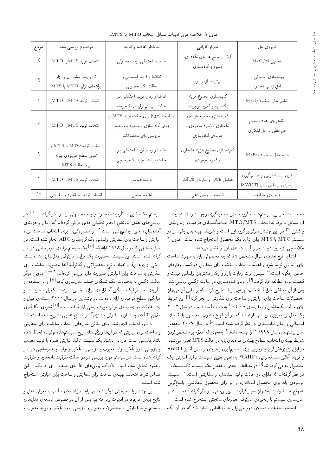جدول ١. خلاصه مرور ادبيات مسائل انتخاب MTS يا MTS.

| مرجع                                                                                                                                                                                                                                                                                                                                                                                                                                                                                                                                                                                                                                                                                                                                                                                                                                                                                                                                                                                                                                                                                                     | موضوع بررسی شده                                                         | ساختار نقاضا و توليد                                                                    | معيار كارايي                                                          | شيوەى حل                                                     |
|----------------------------------------------------------------------------------------------------------------------------------------------------------------------------------------------------------------------------------------------------------------------------------------------------------------------------------------------------------------------------------------------------------------------------------------------------------------------------------------------------------------------------------------------------------------------------------------------------------------------------------------------------------------------------------------------------------------------------------------------------------------------------------------------------------------------------------------------------------------------------------------------------------------------------------------------------------------------------------------------------------------------------------------------------------------------------------------------------------|-------------------------------------------------------------------------|-----------------------------------------------------------------------------------------|-----------------------------------------------------------------------|--------------------------------------------------------------|
| $[ \Delta ]$                                                                                                                                                                                                                                                                                                                                                                                                                                                                                                                                                                                                                                                                                                                                                                                                                                                                                                                                                                                                                                                                                             | انتخاب توليد MTS يا MTO                                                 | تقاضاي احتمالي، چندمحصولي                                                               | كم ترين جمع هزينهى نگهدارى.<br>كمبود و أماده سازي                     | $\rm M/G/M$ تخمين                                            |
| $\lceil \hat{\nu} \rceil$                                                                                                                                                                                                                                                                                                                                                                                                                                                                                                                                                                                                                                                                                                                                                                                                                                                                                                                                                                                                                                                                                | تأثير رفتار مشتريان وبازار<br>${\rm MTS}$ يا ${\rm MTO}$ يا ${\rm MTS}$ | تقاضا با فرایند احتمالی و<br>حالت تكمحصولي                                              | بیشینهسازی سود                                                        | بهينهسازى احتمالي با<br>افق زمانى محدود                      |
| $[{\mathsf{V}}] % \centering \includegraphics[width=0.9\textwidth]{images/TrDiC-Architecture.png} % \caption{The first two different values of the parameter $\Sigma$ and the first two different values of the parameter $\Sigma$. The first two different values of the parameter $\Sigma$. The first two different values of the parameter $\Sigma$. The first two different values of the parameter $\Sigma$. The first two different values of the parameter $\Sigma$. The first two different values of the parameter $\Sigma$. The first two different values of the parameter $\Sigma$. The first two different values of the parameter $\Sigma$. The first two different values of the parameter $\Sigma$. The first two different values of the parameter $\Sigma$. The first two different values of the parameter $\Sigma$. The first two different values of the parameter $\Sigma$. The first two different values of the parameter $\Sigma$. The first two different values of the parameter $\Sigma$. The first two different values of the parameter $\Sigma$. The first two different$ | انتخاب توليد MTS يا MTO                                                 | تقاضا و زمان فرایند احتمالی در<br>حالت سيستم توليدى تكمرحله                             | كمينهسازى مجموع هزينه<br>نگهداري وكمبود موجودي                        | نتايج مدل صف M/G/۱                                           |
| $[\![\lambda]\!]$                                                                                                                                                                                                                                                                                                                                                                                                                                                                                                                                                                                                                                                                                                                                                                                                                                                                                                                                                                                                                                                                                        | انتخاب توليد MTS يا MTO                                                 | سیاست (Q,r) برای حالت تولید MTS و<br>زمان أمادهسازى و محدوديت سطح<br>سرويس براي محصولات | كمينهسازى مجموع هزينهى<br>نگهداري وکمبود موجودي و<br>هزينهى أمادهسارى | برنامه ريزي عدد صحيح<br>غیرخطی با حل ابتکاری                 |
| $[\mathbf{A}]$                                                                                                                                                                                                                                                                                                                                                                                                                                                                                                                                                                                                                                                                                                                                                                                                                                                                                                                                                                                                                                                                                           | انتخاب توليد MTO يا MTS و<br>تعيين سطح موجودى بهينه<br>برای حالت MTS    | تقاضا و زمان فرایند احتمالی در<br>حالت سيستم توليد تكمرحلهيى                            | كمينهسازى مجموع هزينه نگهدارى<br>وكمبود موجودي                        | نتايج مدل صف M/Er/۱                                          |
| $[1]$                                                                                                                                                                                                                                                                                                                                                                                                                                                                                                                                                                                                                                                                                                                                                                                                                                                                                                                                                                                                                                                                                                    | انتخاب توليد MTS يا MTO                                                 | حالت عمومى                                                                              | عوامل داخلی و خارجی تأثیرگذار                                         | فازي سلسلهمراتبي و تصميمگيري<br>راهبردى براساس أناليز (SWOT) |
| $[\lambda \circ]$                                                                                                                                                                                                                                                                                                                                                                                                                                                                                                                                                                                                                                                                                                                                                                                                                                                                                                                                                                                                                                                                                        | انتخاب توليد استاندارد و سفارشي                                         | تک مرحلهیی                                                                              | کیفیت سرویس دهی                                                       | زنجيرەي ماركوف                                               |

شده است. در این سیستمها سه گروه مسائل تصمیمگیری وجود دارد که عبارتاند از: مسائل مربوط به انتخاب MTO/MTS، هماهنگسازی ظرفیت و زمانبندی، و کنترل <sup>[۴]</sup> در این نوشتار تمرکز بر گروه اول است و شرایط بهینهبودن یکی از دو و نسرل.<br>. سیستم MTS یا MTS برای تولید یک محصول استخراج شده است. جدول ۱<br>داد

خلاصه یی از مرور ادبیات مربوط به دستهی اول را نشان میدهد.<br>ابتدا با طرح تعدادی سؤال مشخص شدکه حه محصولی باید بهصورت ساخت CN=U CQwYx@ O}=@ |rwYLt xJ xm OW XNWt p= - wU |O=OaD KQ]=@ =OD@= برای آئبارس تولید سود و آهمیت انتخاب ساخت برای سفارس در نسب وتارهای<br>خاص حگونه است.<sup>[۵]</sup> سسر اثرات رقابت بازار و رفتار مشتر باز براساس قیمت و حاص چدونه است. • سپس انزاب رقابت بازار و رفتار مستریان براساس قیمت و<br>منصوبات الله عناص کافلت استقلال استقلال "OW |UQQ@ |@}mQD Cr=L QO |R=UxO=t; u=tR w کیفیت مورد مطالعه قرار گرفت<sup>[۶]</sup><br>استمت پس از آن محققین سرایط اسحاب بهینه یی را استخراج دردند که براساس آن می توان<br>۱۰ - حساب العامل از این این این کوه تعداد از کار از کار از کار این کار این این کار این کار این کار این کار این محصولات ساخت برای انبارش و ساخت برای سفارش را مجزا کرد؛<sup>[۷]</sup> این شرایط<br>با سوالیه وکرداد و ساخت به سم**ان تاریخ تاریخ است** با سوالیه می در برای حالت تک.اشین و زمان بندی FCFS " به دست آمده است. در سال ۲۰۰۲<br>کمیسند و تاریخ است این حالت ۱۸ کوچک با آن اینام متنا میشد این استفاد است يک مدل برنامهوريزي رياضي ارائه شد که در آن انواع متفاوتي محصول با تقاضاي احتمالی و زمان آمادهسازی در نظر درفته سده است.<br>مدل پیشنهادی سال ۱۹۹۸ <sup>[۷]</sup> را توسعه دادند<sup>[۹]</sup> بهنحوی که علاوه بر مشخصکردن<br>ساما احتمالی و زمان آمادهسازی در نظرگرفته شده است.<sup>[۸]</sup> در سال ۲۰۰۷ محققین مدل پیستهادی سال ۱۱۱۸ می را توسعه دادند میشودی که علاوه بر مسحص دردن<br>مدل پیستهادی سال ۱۰۰۰ شرايط بهينهى انتخاب سطوح بهينهى موجودى پايه در حالت MTS تعيين مىشود.<br>سالما مىلمانىيەت گالساسىيەتىگە  $\operatorname{SWOT}$  در ایران نیز بژوهش گران حارجو بی برای تصمیمگیری راهپردی براساس آنالیز و فرایند آنالیز سلسلهمراتبی (AHP)° بهمنظور تعیین سیاست تولید انبارش یک<br>مسلمان است که سایر ایل مسلمان است. محصول معرفی کردهاند.<sup>[۱]</sup> در مطالعات بعدی محققین یک سیستم تکایستگاه را<br>منظم گفتان کو را استقلال مقطعه اسلاما در نظرگرفتهاند که دارای دو حالت تولید استاندارد و سفارشی است.<sup>[۱۰]</sup> سیستم<br>مسابقه است. موجودی پایه برای محصول استاندارد و نیز برای محصول سفارشی، پاسخگویی بهموقع به سفارشات به عنوان معيار كيفيت سرويس دهي در نظر گرفته شده است. با مدلسازى سيستم با زنجيرهى ماركوف معيارهاى سنجش استخراج شده است. ازجمله تحقیقات دستهی دوم می توان به مطالعاتی اشاره کرد که در آن یک

سیستم تکماشین با ظرفیت محدود و چندمحصولی را در نظر گرفتهاند.<sup>۱۰۱</sup> در<br>منابع بررسی های بعدی به سطور انجام تحلیلی دقیق قرص درده ند به زمان و هرینهی<br>آیا سطح استان میکند و استادا میرسیم استاد استان استان آمادهسازی قابل چشمپوشی است<sup>[۱۲]</sup> و تصمیمگیری برای انتخاب ساخت برای<br>ازار نویستار و است این ساحات کو گ انبارش و ساخت برای سفارش براساس یک گروهبندی ABC انجام شده است. در مدل مسابقی نه در سال ۱۱۱۸ آرائه سد ۲۰۰ یک سیستم تولیدی دومرحله یی در نظر<br>ک مدل مشابهی که در سال ۱۹۹۸ ارائه شد $\left[ ^{\mathrm{197}}\right]$  یک سیستم تولیدی دومرحله یی در نظر "CU=xOW |R=UpOt |iwmQ=t Ov}=Qi l} CQwYx@ sDU}U u}= "CU= xOW xDiQo برخی از پروهس درآن بعداد و نوع محصوله نی را که نوئید آنها بهصورت ساخت برای<br>منابعت استفاده استفاده استفاده استفاده استفاده استفاده استفاده استفاده سفارس یا ساخت برای اسارس صرورت دارد بررسی درده ند.<br>حالت ترکیبی را بهصورت یک شیکهی صف مدل سازی کرده<sup>[۱۶]</sup> و با استفاده از سفارش یا ساخت برای انبارش ضرورت دارد بررسی کردهاند.<sup>[۱۸</sup>٬۱<sup>۲]</sup> عدهیی دیگر حالب برتیبی را به صورت یک سبکهی صف مدلسازی ترده معمود استفاده از<br>منا نظریهی حد ترافیک سنگین ً، فرایندی برای تخمین سرعت تکمیل سفارشات و<br>پایگوت باید میانگین سطح موجودی ارائه دادهاند. در نوشتاری در سال ۲۰۰۰ مسئلهی قبول و |Q}oQ=mx@ |xwLv "CU= xDiQo Q=Qk |UQQ@ OQwt |r=wD |Ov@u=tR w C=WQ=iU OQ [18] "CU= xOW K} QWD |}=Pe`}=vY QO 7 |QDWt VQ=iU |R=U=OH |x]kv swyit رد سفارشات و زمان بندی توالی مورد بررسی قرارگرفته است. <sup>[۱۷]</sup> نحوه ی بهکارگیری

با مرور ادبیات انجام شده جای خالبی مدل های انتخاب ساخت برای سفارش و ساخت برای انبارش که در آنها ویژگی های رایج سیستم های تولیدی لحاظ شده .<br>باشد ملموس است. در این نوشتار یک سیستم تولید انبارش همراه با تولید معیوب و بازرسی بدون تأخیر، تولید معبوب و بازرسی با تأخیر، و تولید حندمرحلهیی در نظر گرفته شده است. هر سیستم مورد بررسی در دو حالت ظرفیت نامحدود و ظرفیت محدود تحلیل شده است. باکمک روش های نظریهی صف، برای هریک از این مسائل شرط انتخاب بهينهى ساخت براى سفارش و ساخت براى انبارش استخراج شده است.

این نوشتار با سه بخش دیگر ادامه مییابد. در ادامهی مطلب به معرفی مدل و نتايج پايهى موجود در ادبيات پرداختهايم. پس از آن درخصوص توسعهى مدل هاى سیستم تولید انبارش با محصولات معیوب و بازرسی بدون تأخیر، و تولید معیوب و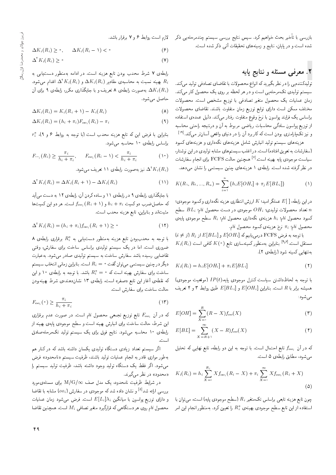بازرسی با تاخیر بحث خواهیم کرد. سپس نتایج بررسی سیستم چندمرحلهیی ذکر گذرم است روابط ۲ و ۷ برقرار باشد.<br>مدیات مصالحات الحالی است شده است و در پایان، نتایج و زمینههای تحقیقات آتی ذکر شده است.

# X. معرف<sub>ی</sub> مسئله و نتایج پایه

تولیدکننده یی را در نظر بگیرید که انواع محصولات با تقاضای تصادفی تولید میکند. سیستم تولیدی تک $\lambda$ مرحلهیی است و در هر لحظه بر روی یک محصول کار میکند. زمان عملیات یک محصول متغیر تصادفی با توزیع مشخص است. محصولات مختلف ممكن است داراى توابع توزيع زمان متفاوت باشند. تقاضاى محصولات براساس يک فرايند پواسون با نرخ وقوع متفاوت رفتار مى،كند. دليل عمدهى استفاده از توزیع پواسون سادگی محاسبات ریاضی مربوط به آن و درنتیجه راحتی محاسبه و نیز تک¢ارمتری بودن است که کاربرد آن را در دنیای واقعی آسانتر میکند.<sup>[۱۹]</sup><br>مسلمان است و مسلمان این مشارک است.

هزینههای سیستم تولید انبارش شامل هزینههای نگهداری و هزینههای کمبود (سفارشات به تعويق افتاده) است. در اغلب سيستم هاى مشابه توليدى در اين نوشتار، سیاست موجودی پایه بهینه است.<sup>[۷]</sup> همچنین حالت FCFS برای انجام سفارشات<br>منابع گینسید و ایران میلیار در نظر گرفته شده است. رابطهى ۱ هزينههاى چنين سيستمى را نشان مىدهد.

$$
K(R_1, R_1, ..., R_n) = \sum_{i=1}^n \{h_i E[OH_i] + \pi_j E[BL_i] \}
$$
 (1)

 $\epsilon$ در این رابطه،  $E[~]$  عملگر امید؛  $K$  ارزش انتظاری هزینه نگهداری و کمبود موجودی؛ تعداد محصولات تولیدی؛  $OH_i$  موجودی در دست محصول  $h$ ام؛  $B$  سطح  $n$ كمبود محصول  $i$ ام؛  $h_i$  هزينهى نگەدارى محصول  $i$ ام؛  $R_i$  سطح موجودى پايەى محصول  $i$ ام؛  $\pi_i$  نرخ هزینهی کمبود محصول  $i$ ام.

 $i \neq j$   $R_j$  با توجه به فرض  ${\rm FCFS}$  درمی ${\rm E}[OH_i]$  د  $E[OH_i]$  و  $K_i(R_i)$  سستقل است. $\mathbb{R}^{[\bullet]}$  بنابواین بهمنظور کمینهسازی تابع  $K(\bullet)$  کافی است به تنهایی کمینه شود (رابطهی ۲).

$$
K_i(R_i) = h_i E[OH_i] + \pi_i E[BL_i]
$$
\n<sup>(</sup>)

با توجه به لحاظ(داشتن سیاست کنترل موجودی پایه،( $IP(t)$  (موقعیت موجودی) همیشه برابر با  $R$  است. بنابراین  $E[OH_i]$  و  $E[OH_i]$  طبق روابط ۳ و ۴ تعریف مىشود:

$$
E[OH] = \sum_{X=\infty}^{R} (R - X) f_{oo}(X)
$$
 (7)

$$
E[B L] = \sum_{X=R+1}^{\infty} (X - R) f_{oo}(X)
$$
 (f)

كه در آن  $f_{oo}$  تابع احتمال است. با توجه به اين دو رابطه، تابع نهايي كه تحليل می شود، مطابق رابطهی ۵ است.

$$
K_i(R_i) = h_i \sum_{X=i}^{R_i} X f_{oo_i}(R_i - X) + \pi_i \sum_{X=i}^{\infty} X f_{oo_i}(R_i + X)
$$
\n(2)

جون تابع هزينه تابعي براساس تک $R_i$  تعفير  $R_i$  (سطح موجودی پايه) است، می $\bar{\rm e}$  با استفاده از این تابع سطح موجودی بهینهی  $R_i^*$  را تعیین کرد. بهمنظور انجام این امر

$$
\Delta K_i(R_i) \geq \circ, \qquad \Delta K_i(R_i - 1) < \circ \tag{9}
$$

$$
\Delta^{\dagger} K_i(R_i) \geq \circ \tag{V}
$$

رابطهى ٧ شرط محدب بودن تابع هزينه است. در ادامه بهمنظور دست يابى به بهینه نسبت به محاسبهی مقادیر  $\Delta^{\star}K_i(R_i)$  و  $\Delta^{\star}K_i(R_i)$  اقدام میشود.  $R_i$ به صورت رابطه $\lambda$  تعریف و با جایگذاری مکرر، رابطهی ۹ برای آن  $\Delta K_i(R_i)$ حاصل مىشود.

$$
\Delta K_i(R_i) = K_i(R_i + 1) - K_i(R_i)
$$
 (A)

$$
\Delta K_i(R_i) = (h_i + \pi_i) F_{oo_i}(R_i) - \pi_i \tag{4}
$$

بنابراین با فرض این که تابع هزینه محدب است (با توجه به روابط ۶ و ۹)، "<br>ایابا براساس رابطهى ١٠ محاسبه مىشود.

$$
F_{\cdot \cdot i}(R_i) \ge \frac{\pi_i}{h_i + \pi_i}, \qquad F_{oo_i}(R_i - 1) < \frac{\pi_i}{h_i + \pi_i} \tag{1\text{\textcircled{\raisebox{-0.7ex}{\raisebox{-0.7ex}{\raisebox{-0.7ex}{\raisebox{-0.7ex}{\raisebox{-0.7ex}{\raisebox{-0.7ex}{\raisebox{-0.7ex}{\raisebox{-0.7ex}{\raisebox{-0.7ex}{\raisebox{-0.7ex}{\raisebox{-0.7ex}{\raisebox{-0.7ex}{\raisebox{-0.7ex}}{\raisebox{-0.7ex}{\raisebox{-0.7ex}{\raisebox{-0.7ex}{\raisebox{-0.7ex}{\raisebox{-0.7ex}}{\raisebox{-0.7ex}}{\hspace{-0.7ex}}{\hspace{-0.7ex}}{\hspace{-0.7ex}}}}}}}}}
$$

نیز به صورت رابطهی ۱۱ تعریف میشود.  $\Delta^{\intercal} K_i(R_i)$ 

$$
\Delta^{\dagger} K_i(R_i) = \Delta K_i(R_i + 1) - \Delta K_i(R_i)
$$
\n(11)

O};|t CUO x@ 12 |x]@=Q 'u; uOQm xO=U w 11 |x]@=Q QO 9 |x]@=Q |Q=Po}=H =@ که حاصل ضرب دو کمیت  $\kappa_{i}+\pi_{i}$  و  $f_{ooi}(R_{i}+\lambda)$  است. هر دو این کمیت ها $\kappa_{a}$ مثبت اند و بنابراین، تابع هزینه محدب است.

$$
\Delta^{\dagger} K_i(R_i) = (h_i + \pi_i) f_{oo_i}(R_i + 1) \geq \circ \tag{11}
$$

با توجه به محدببودن تابع هزینه بهمنظور دست،ایبی به #R برقراری رابطهی A<br>. ضروری است. اما در یک سیستم تولیدی براساس ساخت برای سفارش، وقتی تقاضایی رسیده باشد سفارش ساخت به سیستم تولیدی صادر می شود. به عبارت دیگر در چنین سیستمی میتوان گفت م $R_i= R_i$  است. بنابراین زمانی انتخاب سیستم ساخت برای سفارش بهینه است که ۰ = #R باشد. با توجه به رابطهی ۱۰ و این<br>بر مقال مقدار استفاده میشد و استفاد به سده در استفاده میشد و با که نقطهی آغاز این تابع «صفر» است، رابطهی ۱۳ نشاندهندهی شرط بهینهبودن حالت ساخت برای سفارش است.

$$
F_{oo_i}(\circ) \ge \frac{\pi_i}{h_i + \pi_i} \tag{17}
$$

كه در آن  $F_{oo_i}$  تابع توزيع تجمعى محصول  $i$ ام است. در صورت عدم برقرارى این شرط، حالت ساخت برای انبارش بهینه است و سطح موجودی پایهی بهینه از رابطهى 10 محاسبه مى شود. نتايج فوق براى يك سيستم توليد تكمرحله صادق . است.<br>.

ادر سيسم تعداد زيادى دستكاه توليدى يكسان داسته باسد ته در تناز هم<br>المسيسم العداد المساء على المستخدمات المستخدمات بهطور موازى قادر به انجام عمليات توليد باشند، ظرفيت سيستم «نامحدود» فرض میشود. اگر فقط یک دستگاه تولید وجود داشته باشد، ظرفیت تولید سیستم را «محدود» در نظر میگیرند.

در شرایط ظرفیت نامحدود، یک مدل صف M/G/ $\infty$  برای مسئله ی مورد بررسی ارائه شد<sup>اها</sup> و نشان داده شدکه موجودی در سفارش (،00) مشابه با تقاضا<br>مطالعات و دارای توزیع پواسون با میانگین  $E[L_i]\lambda_i$  است. فرض میشود زمان عملیات محصول  $i$ ام روی هر دستگاهی که قرارگیرد متغیر تصافی  $M_i$  است. همچنین تقاضا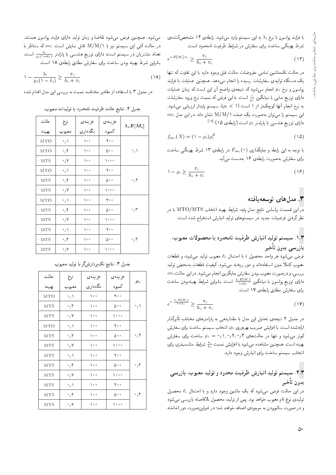با فرایند پواسون با نرخ  $\lambda_i$  به این سیستم وارد می شود. رابطهی ۱۴ مشخص کنندهی شرط بهینگی ساخت برای سفارش در شرایط ظرفیت نامحدود است.

$$
e^{-E[M_i]\lambda_i} \ge \frac{\pi_i}{h_i + \pi_i} \tag{15}
$$

در حالت تکماشین تمامی مفروضات حالت قبل وجود دارد با این تفاوت که تنها یک دستگاه تولیدی سفارشات رسیده را انجام می،دهد. همچنین عملیات با فرایند پواسون و نرخ  $\mu_i$  انجام میشود که نتیجهی واضح آن این است که زمان عملیات دارای توزیع نمایی با میانگین <sup>ب</sup>ش است. با این فرض که نسبت نرخ ورود سفارشات<br>مینماید با آنها کریم که با را به ۱۸ ک به نرخ انجام آنها كوچكتر از ١ است (١ < )، سيستم پايدار ارزيابي مىشود.  $o_i$  این سیستم را می توان به صورت یک صف M/M/۱ نشان داد. در این مدل دارای توزیع هندسی با پارامتر p<sub>i</sub> است (رابطهی ۱۵):<sup>[۱۸]</sup><br>.

$$
f_{oo_i}(X) = (1 - \rho_i)\rho_i^X \tag{10}
$$

با توجه به این رابطه و جایگذاری (°) ،F<sub>oo </sub>c در رابطهی ۱۳ شرط بهینگی ساخت<br>باریستان .<br>«ای سفارش بهصورت رابطهی ۱۶ به دست میرآید.

$$
1 - \rho_i \ge \frac{\pi_i}{h_i + \pi_i} \tag{19}
$$

#### **۳**. مدلهای توسعهیافته

 $\overline{\mathrm{C}}$ در این قسمت براساس نتایج مدل پایه، شرایط بهینه انتخاب  $\mathrm{MTS}$  با در نظر گرفتن فرضیات جدید در سیستمهای تولید انبارش استخراج شده است.

#### ١.٣. سيستم توليد انبارش ظرفيت نامحدود با محصولات معيوب، <u>پازرسے پدون</u> تأخیر

فرض می شود هر واحد محصول i با احتمال  $\delta_i$  معبوب تولید می شود، و قطعات بدون استفادهاند و دور ریحته می سود. نیفیت قصعات بهمحص تولید<br>است سال استفادهاند و در استک معبوب کاملاً بدون استفادهاند و دور ریخته می شود. کیفیت قطعات بهمحض تولید بررسی، و درصورت معیوب بودن سفارش جایگزین انجام میشود. در این حالت ،00<br>بابلست و است دارای توزیع پواسون با میانگین  $\frac{\lambda_i E[M_i]}{\lambda-\delta_i}$  است. بنابراین شرایط بهینهبودن ساخت<br>استفاد و سال سالمان میلادند «ای سفارش مطابق رابطهی ۱۷ است.

$$
e^{-\frac{\lambda_i E[M_i]}{\lambda - \delta_i}} \ge \frac{\pi_i}{h_i + \pi_i} \tag{1V}
$$

در جدول ۲ نتیجه،ی تحلیل این مدل با مقداردهی به پارامترهای مختلف تأثیرگذار<br>المعدد است المغاضر ارائهشده است. با افزایش ضریب بهرهوری ، $\rho_i$ ، انتخاب سیستم ساخت برای سفارش کم تر می شود و تنها در حالت های ۰٫۲٫۰٫۲ و =  $\rho_i = \rho_i - \rho_i$  ساخت برای سفارش بهینه است. همچنین مشاهده میشود با افزایش نسبت ﷺ شرایط مناسب تری برای<br>انتخاب انتخاب سيستم ساخت براى انبارش وجود دارد.

## ۲.۳. سیستم تولید انبارش ظرفیت محدود و تولید معیوب، بازرسی يدون تأخير

در این حالت فرض میشود که یک ماشین وجود دارد و با احتمال  $\delta_i$  محصول توليدى نوع ir معيوب خواهد بود. پس از توليد، محصول بلافاصله بازرسي مى شود و در صورت سالم،بودن به موجودي اضافه خواهد شد؛ در غيراين صورت دور انداخته

می شود. همچنین فرض می شود تقاضا و زمان تولید دارای فرایند پواسون هستند. در حالت کلی این سیستم نیز با M/M/۱ قابل نمایش است.  $o_i$  که متناظر با تعداد مشتریان در سیستم است. دارای توزیع هندسی با پارامتر زمقیه ست.<br>طالبه منا بنابراين شرط بهينه بودن ساخت براى سفارش مطابق رابطهى ١٨ است.

$$
\lambda - \frac{\lambda_i}{\mu_i (\lambda - \delta_i)} \ge \frac{\pi_i}{h_i + \pi_i} \tag{1A}
$$

در جدول ۳ با استفاده از مقادیر مختلف، نسبت به بررسی این مدل اقدام شده

هزینهی | هزینهی | نرخ | حالت  $\lambda_iE[M_i]$ کمبود | نگهداری | معیوب | بهینه MTO 0 1 100 200 MTO 0 4 100 500 0 1 MTS  $\circ$   $\prime$   $\circ$   $\circ$   $\circ$   $\circ$   $\circ$   $\circ$ MTO 0 1 100 200 MTS 0 4 100 500 0 2 MTS  $\bullet$   $\prime$   $\bullet$  1000 1000 MTO 0 1 100 200 MTS 0 4 100 500 0 3 MTS  $\bullet$   $\prime$   $\prime$   $\bullet$   $\bullet$  1000 MTS  $\bullet$  1 100 700 MTS  $\circ$ ,  $\uparrow$  \oo  $\circ$   $\circ$   $\circ$   $\circ$   $\circ$   $\circ$   $\uparrow$   $\uparrow$ MTS 0 7 100 1000

جدول ٢. نتايج حالت ظرفيت نامحدود با توليدات معيوب.

| حالت       | نرخ                      | هز ينهي               | هز ينه ي |                          |  |
|------------|--------------------------|-----------------------|----------|--------------------------|--|
| بهينه      | معيوب                    | نگەدارى               | كمبود    | $\rho_i$                 |  |
| MTO        | $\mathcal{O}_f$          | ه ۱۰                  | ه ۲۰     |                          |  |
| <b>MTS</b> | $\mathcal{M}^{\circ}$    | ه ۱                   | ه ۵۰     | $\cdot$ / $\setminus$    |  |
| <b>MTS</b> | $\cdot$ , $\vee$         | $\lambda \circ \circ$ | ه ه م)   |                          |  |
| MTO        | $\cdot$ / $\setminus$    | ه ۱                   | ه ۲۰     |                          |  |
| <b>MTS</b> | $\cdot$ , ۴              | ه ه (                 | ه ۵۰     | $\cdot$ , ۲              |  |
| <b>MTS</b> | $\cdot$ , $\vee$         | ه ه (                 | ه ه ۱    |                          |  |
| <b>MTS</b> | ゚゚゚゚                     | ه ه (                 | ه ۲۰     |                          |  |
| <b>MTS</b> | $\cdot$ , $\mathfrak{r}$ | ه ۱۰                  | ه ۵۰     | $\cdot$ , $\mathsf{r}$   |  |
| <b>MTS</b> | $\cdot$ , Y              | ه ۱۰                  | ه ه ۱    |                          |  |
| <b>MTS</b> | $\cdot$ $\wedge$         | ه ه (                 | ه ۲۰     |                          |  |
| <b>MTS</b> | $\mathcal{M}^{\circ}$    | ه ۱                   | ه ۵۰     | $\cdot$ , $\mathfrak{r}$ |  |
| <b>MTS</b> | $\cdot$ , Y              | ه ه (                 | ه ه م)   |                          |  |

جدول ٣. نتايج تک پردازشگر با توليد معيوب.

ە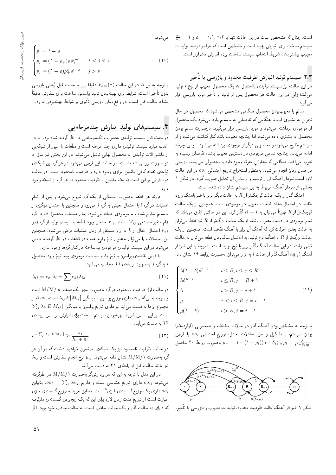است. چنان که مشخص است در این حالت تنها با ۲٫۰٫۲ و ۲ $\mu_i = \frac{\pi_i}{h_i} = \frac{1}{h_i}$  میشو سیستم ساخت برای انبارش بهینه است و مشخص است که هرقدر درصد تولیدات معيوب بيشتر باشد شرايط انتخاب سيستم ساخت براى انبارش دشوارتر است.

# ۳.۳. سیستم تولید انبارش ظرفیت محدود و بازرسی با تأخیر

در این حالت نیز سیستم تولیدی بااحتمال ، $\delta_i$  یک محصول معیوب از نوع ، تولید میکند؛ ولی در این حالت هر محصول پس از تولید با تأخیر مورد بازرسی قرار مه رگېږد

سالم یا معیوب بودن محصول هنگامی مشخص می شود که محصول در حال تحویل به مشتری است. هنگامی که تقاضایی به سیستم وارد میشود یک محصول از موجودی برداشته میشود و مورد بازرسی قرار میگیرد. درصورت سالم بودن محصول به مشتری داده میشود اما چنانچه معیوب باشد کنارگذاشته میشود و از سیستم خارج می شود، و محصولی دیگر از موجودی برداشته می شود... و این چرخه ادامه می،یابد. چنانچه تمامی موجودی در دسترس معیوب باشد، تقاضای رسیده به تعویق میافتد. هنگامی که سفارش معوقه وجود دارد و محصولی می رسد، بازرسی در همان زمان انجام میشود. بهمنظور استخراج توزیع احتمالی 00i در این حالت لازم است نمودار آهنگ آن را ترسیم و براساس آن تحلیل صورت گیرد. در شکل ۱ بخشی از نمودار آهنگ مربوط به این سیستم نشان داده شده است.

آهنگ گذر از یک حالت کوچک تر از  $R$  به حالت دیگر برابر با ضرباهنگ ورود تقاضا در احتمال تعداد قطعات معیوب در موجودی است. همچنین از یک حالت کوچک $\bar{\kappa}$  از  $R$  نهایتاً می $\bar{\kappa}$ وان به ۱ $R+R$  گذر کرد. این در حالتی اتفاق می $\epsilon$ افتد که تمام موجودی در دست معیوب باشد. از یک حالت بزرگ تر از  $R$  نیز فقط می $\vec{ }$ وان به حالت بعدی حرکت کرد که آهنگ آن برابر با آهنگ تقاضا است. همچنین از یک حالت بزرگ $\bar{\mathcal{C}}$ راز  $R$  با آهنگ نرخ تولید، به احتمال سالمبودن قطعه می $\bar{\mathcal{C}}$ وان به حالت قبلی رفت. در این حالت آهنگ گذر برابر با نرخ تولید است. با توجه به این نمودار آهنگ ( $q_{ij}$ )، آهنگ گذر از حالت  $i$  به  $j$  را می $\vec{p}$ وان به صورت روابط ۱۹ نشان داد:

$$
\begin{cases}\n\lambda(1-\delta)\delta^{j-i-1} & i \leq R, i \leq j \leq R \\
\lambda \delta^{R-i} & i \leq R, j = R + 1 \\
\lambda & i > R, j = i + 1 \\
\mu & \delta < i \leq R, j = i - 1 \\
\mu(1-\delta) & i > R, j = i - 1\n\end{cases} \tag{14}
$$

با توجه به مشخص بودن أهنگ گذر در حالات مختلف و همهسویی (ارگودیک) بودن سیستم، با تشکیل و حل معادلات تعادل، توزیع احتمالی 00; با فرض و (۱۰– ۱) (۱۰– ۱) و (۱۰– ۱) (۱) و (۱۰– ۱) به صورت روابط ۲۰ حاصل  $\rho_i = \frac{\lambda_i}{(1-\delta_i)\mu_i}$ 



شکل ۱. نمودار آهنگ حالت ظرفیت محدود، تولیدات معیوب و بازرسی با تأخیر.

$$
\begin{cases}\np_{\circ} = 1 - \rho \\
p_{j} = (1 - \rho_{+})\rho \rho_{+}^{j-1} & 1 \leq j \leq s \\
p_{j} = (1 - \rho_{})\rho_{+}^{s}\rho_{-}^{j-s} & j > s\n\end{cases}
$$
\n(7°)

با توجه به این که در این حالت  $F_{oo_i}(\hspace{1pt}\mathrm{\scriptscriptstyle o}\hspace{1pt})$  دقیقاً برابر با حالت قبل (یعنی بازرسی بدون تأخير) است، شرايط براى بهينهبودن توليد براساس ساخت براى سفارش دقيقاً مشابه حالت قبل است. در واقع زمان بازرسی تأثیری بر شرایط بهینهبودن ندارد.

### ۴. سیستمهای تولید انبارش چندمرحلهیی

در بحث قبل سیستم تولیدی بهصورت تکمرحلهیی در نظرگرفته شده بود. اما در اغلب موارد سیستم تولیدی دارای چند مرحله است و قطعات با عبور از شبکهیی از ماشینآلات تولیدی به محصول نهایی تبدیل میشوند. در این بخش نیز مدل به دو صورت بررسی شده است. در حالت اول فرض میشود در هرگره این شبکهی تولیدی تعداد کافی ماشین موازی وجود دارد و ظرفیت نامحدود است. در حالت دوم فرض بر این است که یک ماشین با ظرفیت محدود در هرگره از شبکه وجود دا، د.

فرایند هر قطعه به صورت احتمالی از یک گره شروع می شود و پس از اتمام عملیات درگره i با احتمال معینی به گره j می $g$ رود و همچنین با احتمال دیگری از سیستم خارج شده و به موجودی اضافه می شود. زمان عملیات محصول iام درگره ام متغیر تصادفی  $M_{ij}$  است.  $r\cdot j$  احتمال ورود قطعه به سیستم تولید ازگره  $j$ ، و $j$ احتمال انتقال از k به j و مستقل از زمان عملیات فرض میشود. همچنین  $r_{kj}$ این احتمالات را می توان به عنوان نرخ وقوع عیب در قطعات در نظر گرفت. فرض میشود در این سیستم تولیدی موجودی نیمساخته درکنارگرهها وجود ندارد.

با فرض تقاضای پواسون با نرخ  $\lambda_i$  و سیاست موجودی پایه، نرخ ورود محصول به گره  $j$  به صورت رابطهی ۲۱ محاسبه میشود.

$$
\lambda_{ij} = r_{oj}\lambda_i + \sum r_{kj}\lambda_{ik} \tag{7}
$$

در حالت اول ظرفیت نامحدود، هرگره بهصورت مجزا یک صف M/M/∞ است و باتوجه به اینکه  $o$ ه، دارای توزیع پواسون با میانگین  $\lambda_{ij}E[M_{ij}]$  است،  $o$ ه که از  $\sum_i \lambda_{ij} E[M_{ij}]$  مجموع آن ها به دست می آید نیز دارای توزیع پواسون با میانگین است. براین اساس شرایط بهینهبودن سیستم ساخت برای انبارش براساس رابطهی ۲۲ به دست میآید.

$$
e^{-\sum_{j} \lambda_{ij} E[M_{ij}]} \ge \frac{\pi_i}{h_i + \pi_i} \tag{17}
$$

در حالت ظرفیت نامحدود نیز یک شبکهی جانسون خواهیم داشت که در آن هر  $\lambda_{ij}$  گره بهصورت M/M/۱ نشان داده میشود.  $\mu_{ij}$  نرخ انجام سفارش است و نیز مانند حالت قبل از رابطهی ۲۱ به دست میآید.

در این مدل با توجه به این که هر پردازشگر بهصورت M/M/۱ در نظرگرفته میشود، و00 $o_{ij}$  دارای توزیع هندسی است و داریم و00 $o_{ij} = \sum_{j} o_{ij}$ . بنابراین ،00 دارای یک توزیع گسستهی فازی^ است. مطابق تعریف، توزیع گسستهی فازی عبارت است از توزیع مدت زمان لازم برای این که یک زنجیره ی گسسته ی مارکوف که دارای n حالت گذرا و یک حالت جاذب است، به حالت جاذب خود برود. اگر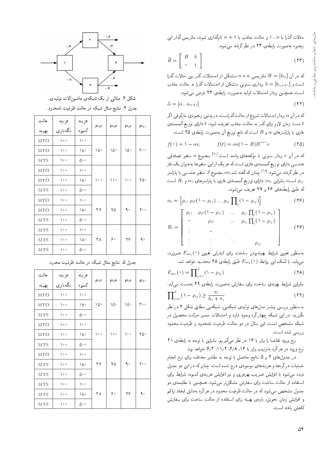حالات گذرا با ۱...n و حالت جاذب با ۱ + n نامگذاری شوند، ماتریس گذار این زنجيره به صورت رابطهى ٢٣ در نظر گرفته مى شود.

$$
\widehat{B} = \left[ \begin{array}{cc} B & b \\ \circ & \searrow \end{array} \right] \tag{77}
$$

که در آن  $B = [b_{ij}]$  ماتریسی $n * n$  متشکل از احتمالات گذر بین حالات گذرا است و  $b=[b_{i,n+1}]$  برداری ستونی متشکل از احتمالات گذرا به حالت جاذب است. همچنین بردار احتمالات اولیه به صورت رابطهی ٢۴ فرض می شود.

$$
\widehat{\alpha} = [\alpha \, , \, \alpha_{n+1}] \tag{17}
$$

که در آن & بردار احتمالات شروع از حالت گذراست. در چنین زنجیرهی مارکوفی اگر مدت زمان لازم برای گذر به حالت جاذب تعریف شود، t دارای توزیع گسستهی  $t$ فازی با پارامترهای  $\alpha$  و  $B$  است که تابع توزیع آن بهصورت رابطهی ۲۵ است.

$$
f(\circ) = \lambda - \alpha e, \qquad f(t) = \alpha e (\lambda - B) B^{t-1} e \qquad (1 \text{ d})
$$

|iO=YD Q}eDt <sup>n</sup> `wtHt [20] "CU= OL=w |=yxir wt =@ |vwDU Q=OQ@ <sup>e</sup> u; QO xm هندسی دارای توزیع گسستهی فازی است که هریک از این متغیرها به عنوان یک فاز همدسی دارای توزیع نسسته ی قازی است که هریک از این متعیرها به عنوان یک قاز<br>منابع نیستمد الفاظ این محکم میدهد و مستقل است. در نظرگرفته میشود.<sup>[۱۸</sup>] چنان که گفته شد،00 مجمو*ع J* متغیر هندسی با پارامتر<br>مناطقه است؛ بنابراین  $o$ 0 دارای توزیع گسستهی فازی با پارامترهای  $\alpha_i$  و  $B_i$  است  $\rho_{ij}$ که طبق رابطههای ۲۶ و ۲۷ تعریف می شوند.

$$
\alpha_i = \left[\rho_i, \ \rho_i(\mathbf{1} - \rho_i), \dots \ \rho_i, \prod_j (\mathbf{1} - \rho_i)\right] \tag{19}
$$

$$
B_i = \begin{bmatrix} \rho_i & \rho_i(\mathbf{1} - \rho_i) & \dots & \rho_{ij} \prod_j (\mathbf{1} - \rho_{ij}) \\ \cdot & \rho_i & \dots & \rho_{ij} \prod_j (\mathbf{1} - \rho_{ij}) \\ \cdot & \cdot & \cdot & \cdot \\ \cdot & \cdot & \cdot & \cdot \\ \cdot & \cdot & \cdot & \rho_{ij} \end{bmatrix}
$$
 (YV)

بهمنظور تعیین شرایط بهینهبودن ساخت برای انبارش تعیین ( e ) F<sub>ooi</sub><br>این ایک کرایس ایران میل ایران استان ایران میلاد می،یابد. باکمک این روابط (۰) F<sub>ooi</sub> طبق رابطهی ۲۸ محاسبه خواهد شد.<br>-

$$
F_{oo_i}(\circ) = \prod_{j=1}^{J} (\uparrow - \rho_{ij})
$$
\n
$$
( \uparrow \uparrow )
$$

بنابراین شرایط بهینهی ساخت برای سفارش بهصورت رابطهی ۲۹ بهدست می آید.

$$
\prod_{j=\lambda}^{J} (\lambda - \rho_{ij}) \ge \frac{\pi_i}{h_i + \pi_i} \tag{74}
$$

به منظور بررسی بیشتر مدل های تولیدی شبکهیی، شبکهیی مطابق شکل ۲ در نظر بگیرید. در این شبکه چهار گره وجود دارد و احتمالات مسیر حرکت محصول در شبکه مشخص است. این مثال در دو حالت ظرفیت نامحدود و ظرفیت محدود بررسے شدہ است.

نرخ ورود تقاضا را برابر با ۱۶ در نظر میگیریم. بنابراین با توجه به رابطهی ۲۱<br>نرخ ورود در هرگره بهترتیب برابر با ۲٫۵ ، ۲٫۸ تا ۶٫۲ خواهد بود. "Ow@ Oy=wN 6 4 '11 2 '4 8 '16 =@ Q@=Q@ ?}DQDx@ xQo Qy QO OwQw MQv

در جدول های ۱ و G سایج حاصل با نوجه به مفادیر محتلف برای نرح انجام<br>ا عملیات درگرهها و هزینههای موجودی درج شده است. چنان که در این دو جدول دیده می شود با افزایش ضریب بهرهوری و نیز افزایش هزینهی کمبود، شرایط برای استفاده از حالت ساخت برای سفارش مشکلتر می شود. همچنین با مقایسهی دو جدول مشخص میشود که در حالت ظرفیت محدود در هرگره بهدلیل ایجاد تراکم و افزایش زمان تحویل، بازهی بهینه برای استفاده از حالت ساخت برای سفارش كاهش يافته است.



شکل ۲. مثال<sub>ی</sub> از یک شبکهی ماشینآلات تولیدی. جدول ۴. نتایج مثال شبکه در حالت ظرفیت نامحدود.

| حالت       | هزينه                 | هزينه      | $\mu_i$ r | $\mu_i$ r | $\mu_i$    | $\mu_i$                       |
|------------|-----------------------|------------|-----------|-----------|------------|-------------------------------|
| بهينه      | نگەدارى               | ر<br>کمبود |           |           |            |                               |
| <b>MTO</b> | $\lambda \circ \circ$ | ه ه (      |           | ۱۵۰       | ۱۵۰        | $\mathbf{r} \cdot \mathbf{0}$ |
| <b>MTO</b> | $\lambda \cdot \cdot$ | ١٨٠        | ۱۵۰       |           |            |                               |
| <b>MTS</b> | ه ه ۱                 | ه ۵۰       |           |           |            |                               |
| MTO        | ه ه ۱                 | ه ه (      | ه ه (     | ۱۱۰       | $\sqrt{2}$ | ٢۵۰                           |
| <b>MTO</b> | ه ه ۱                 | ١٨٠        |           |           |            |                               |
| <b>MTS</b> | $\lambda \circ \circ$ | ه ۵۰       |           |           |            |                               |
| <b>MTO</b> | ه ه ۱                 | ه ه (      |           | ٧۵        | ۹.         | $Y \circ \circ$               |
| <b>MTO</b> | $\lambda \cdot \cdot$ | ١٨٠        | ۴٧        |           |            |                               |
| <b>MTS</b> | ه ه ۱                 | ه ۵۰       |           |           |            |                               |
| <b>MTS</b> | ه ه ۱                 | ه ۱        | ۳۸        | ه ۶       | ٢٧         | ۹.                            |
| <b>MTS</b> | $\lambda \circ \circ$ | ١٨٠        |           |           |            |                               |
| <b>MTS</b> | ه ه ۱                 | ه ۵۰       |           |           |            |                               |

جدول ۵. نتایج مثال شبکه در حالت ظرفیت محدود.

| حالت       | هزينه                 |                | $\mu_i$ | $\mu_i$ r | $\mu_i$    | $\mu_i$ |
|------------|-----------------------|----------------|---------|-----------|------------|---------|
| بهينه      | نگەدارى               | هزينه<br>کمبود |         |           |            |         |
| <b>MTO</b> | $\lambda \cdot \cdot$ | ه ه (          |         | ۱۵۰       | ١۵٠        | ه ۳۰    |
| <b>MTO</b> | $\lambda \cdot \cdot$ | ١٨٠            | ۱۵۰     |           |            |         |
| <b>MTS</b> | ه ه (                 | ه ۵۰           |         |           |            |         |
| <b>MTO</b> | ه ه (                 | ه ۱            | ه ه (   | ۱۱۰       | $\sqrt{2}$ | ٥٥٠     |
| <b>MTO</b> | ه ه ۱                 | ١٨٠            |         |           |            |         |
| <b>MTS</b> | ه ه (                 | ه ۵۰           |         |           |            |         |
| <b>MTO</b> | ه ه ۱                 | ه ۱            |         |           |            |         |
| <b>MTS</b> | ه ه (                 | ١٨٠            | ۴٧      | ٧۵        | ۹.         | ه ۲۰    |
| <b>MTS</b> | ه ه ۱                 | ه ۵۰           |         |           |            |         |
| <b>MTS</b> | ه ه ۱                 | ه ۱            |         |           |            |         |
| <b>MTS</b> | $\lambda \circ \circ$ | ١٨٠            | ۳۸      | ه ۶       | ۲۷         | ۹.      |
| <b>MTS</b> | ه ه ۱                 | ه ۵۵           |         |           |            |         |